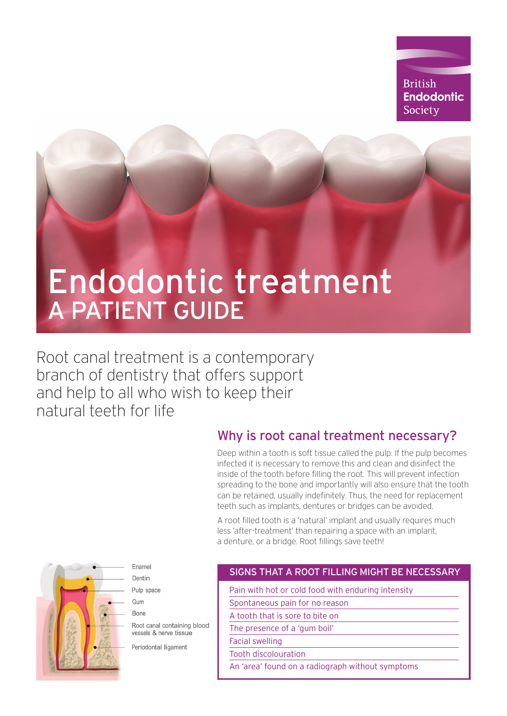# **British Endodontic** Society

# Endodontic treatment A PATIENT GUIDE

Root canal treatment is a contemporary branch of dentistry that offers support and help to all who wish to keep their natural teeth for life

# Why is root canal treatment necessary?

Deep within a tooth is soft tissue called the pulp. If the pulp becomes infected it is necessary to remove this and clean and disinfect the inside of the tooth before filling the root. This will prevent infection spreading to the bone and importantly will also ensure that the tooth can be retained, usually indefinitely. Thus, the need for replacement teeth such as implants, dentures or bridges can be avoided.

A root filled tooth is a 'natural' implant and usually requires much less 'after-treatment' than repairing a space with an implant, a denture, or a bridge. Root fillings save teeth!



Enamel Dentin Pulp space

Gum **Bone** 

Root canal containing blood vessels & nerve tissue

Periodontal ligament

#### SIGNS THAT A ROOT FILLING MIGHT BE NECESSARY

Pain with hot or cold food with enduring intensity

Spontaneous pain for no reason

A tooth that is sore to bite on

The presence of a 'gum boil'

Facial swelling

Tooth discolouration

An 'area' found on a radiograph without symptoms